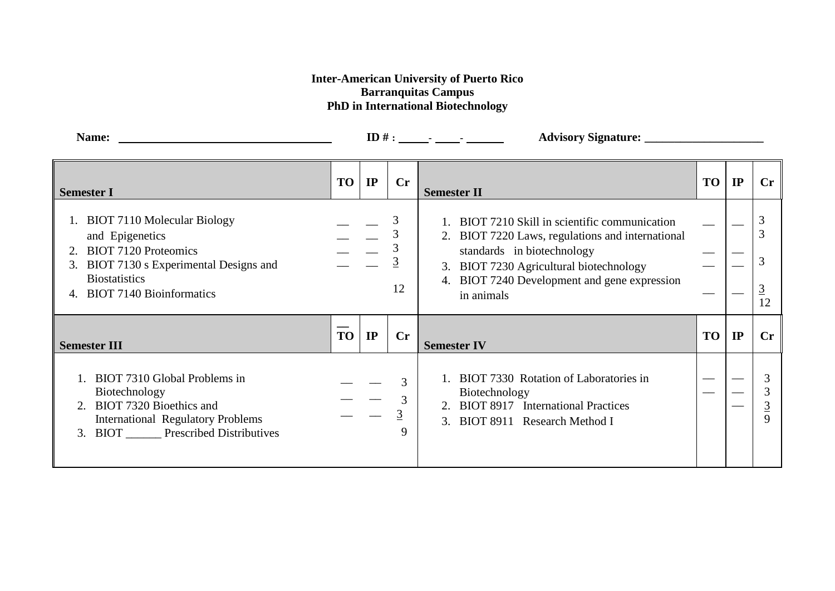## **Inter-American University of Puerto Rico Barranquitas Campus PhD in International Biotechnology**

**Name: ID # : - - Advisory Signature: \_\_\_\_\_\_\_\_\_\_\_\_\_\_\_\_\_\_\_\_**

| <b>Semester I</b>                                                                                                                                                                                   | <b>TO</b> | IP | Cr          | <b>Semester II</b>                                                                                                                                                                                                                        | <b>TO</b> | IP | Cr                                  |
|-----------------------------------------------------------------------------------------------------------------------------------------------------------------------------------------------------|-----------|----|-------------|-------------------------------------------------------------------------------------------------------------------------------------------------------------------------------------------------------------------------------------------|-----------|----|-------------------------------------|
| <b>BIOT 7110 Molecular Biology</b><br>and Epigenetics<br><b>BIOT 7120 Proteomics</b><br>BIOT 7130 s Experimental Designs and<br>3.<br><b>Biostatistics</b><br><b>BIOT 7140 Bioinformatics</b><br>4. |           |    | 3<br>12     | BIOT 7210 Skill in scientific communication<br>BIOT 7220 Laws, regulations and international<br>standards in biotechnology<br>BIOT 7230 Agricultural biotechnology<br>3.<br>BIOT 7240 Development and gene expression<br>4.<br>in animals |           |    | 3<br>3<br>3<br>$\overline{3}$<br>12 |
| <b>Semester III</b>                                                                                                                                                                                 | <b>TO</b> | IP | Cr          | <b>Semester IV</b>                                                                                                                                                                                                                        | <b>TO</b> | IP | Cr                                  |
| BIOT 7310 Global Problems in<br>Biotechnology<br>BIOT 7320 Bioethics and<br><b>International Regulatory Problems</b><br>3. BIOT Prescribed Distributives                                            |           |    | 3<br>3<br>9 | BIOT 7330 Rotation of Laboratories in<br>Biotechnology<br><b>BIOT 8917</b> International Practices<br>3. BIOT 8911 Research Method I                                                                                                      |           |    | Q                                   |